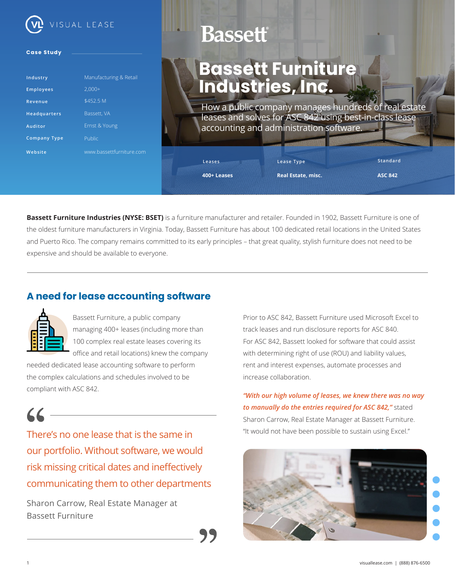

#### **Case Study**

| Industry            | Manufacturing & Retail   |
|---------------------|--------------------------|
| <b>Employees</b>    | $2.000+$                 |
| Revenue             | \$452.5 M                |
| <b>Headquarters</b> | Bassett, VA              |
| Auditor             | Ernst & Young            |
| <b>Company Type</b> | Public                   |
| Website             | www.bassettfurniture.com |

# **Bassett**

## **Bassett Furniture Industries, Inc.**

How a public company manages hundreds of real estate leases and solves for ASC 842 using best-in-class lease accounting and administration software.

**400+ Leases**

**Leases**

**Real Estate, misc.**

**Lease Type**

**ASC 842**

**Standard**

**Bassett Furniture Industries (NYSE: BSET)** is a furniture manufacturer and retailer. Founded in 1902, Bassett Furniture is one of the oldest furniture manufacturers in Virginia. Today, Bassett Furniture has about 100 dedicated retail locations in the United States and Puerto Rico. The company remains committed to its early principles – that great quality, stylish furniture does not need to be expensive and should be available to everyone.

### **A need for lease accounting software**



Bassett Furniture, a public company managing 400+ leases (including more than 100 complex real estate leases covering its office and retail locations) knew the company

needed dedicated lease accounting software to perform the complex calculations and schedules involved to be compliant with ASC 842.

There's no one lease that is the same in our portfolio. Without software, we would risk missing critical dates and ineffectively communicating them to other departments

Sharon Carrow, Real Estate Manager at Bassett Furniture

Prior to ASC 842, Bassett Furniture used Microsoft Excel to track leases and run disclosure reports for ASC 840. For ASC 842, Bassett looked for software that could assist with determining right of use (ROU) and liability values, rent and interest expenses, automate processes and increase collaboration.

*"With our high volume of leases, we knew there was no way to manually do the entries required for ASC 842,"* stated Sharon Carrow, Real Estate Manager at Bassett Furniture. "It would not have been possible to sustain using Excel."

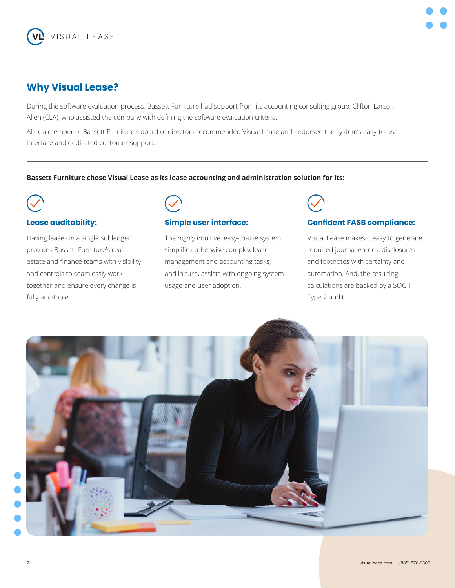

## **Why Visual Lease?**

During the software evaluation process, Bassett Furniture had support from its accounting consulting group, Clifton Larson Allen (CLA), who assisted the company with defining the software evaluation criteria.

Also, a member of Bassett Furniture's board of directors recommended Visual Lease and endorsed the system's easy-to-use interface and dedicated customer support.

#### **Bassett Furniture chose Visual Lease as its lease accounting and administration solution for its:**



#### **Lease auditability:**

Having leases in a single subledger provides Bassett Furniture's real estate and finance teams with visibility and controls to seamlessly work together and ensure every change is fully auditable.



#### **Simple user interface:**

The highly intuitive, easy-to-use system simplifies otherwise complex lease management and accounting tasks, and in turn, assists with ongoing system usage and user adoption.



#### **Confident FASB compliance:**

Visual Lease makes it easy to generate required journal entries, disclosures and footnotes with certainty and automation. And, the resulting calculations are backed by a SOC 1 Type 2 audit.

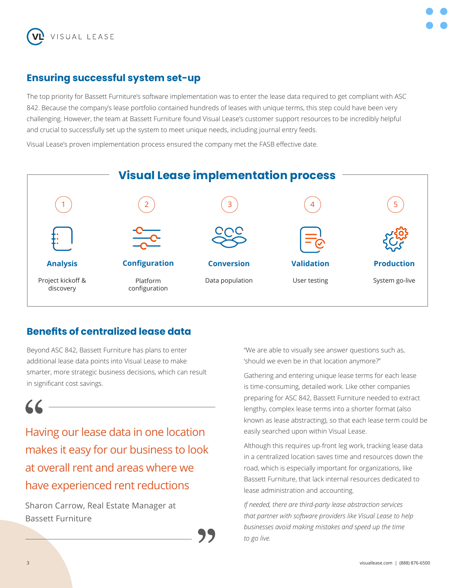

## **Ensuring successful system set-up**

The top priority for Bassett Furniture's software implementation was to enter the lease data required to get compliant with ASC 842. Because the company's lease portfolio contained hundreds of leases with unique terms, this step could have been very challenging. However, the team at Bassett Furniture found Visual Lease's customer support resources to be incredibly helpful and crucial to successfully set up the system to meet unique needs, including journal entry feeds.

Visual Lease's proven implementation process ensured the company met the FASB effective date.



## **Benefits of centralized lease data**

Beyond ASC 842, Bassett Furniture has plans to enter additional lease data points into Visual Lease to make smarter, more strategic business decisions, which can result in significant cost savings.

Having our lease data in one location makes it easy for our business to look at overall rent and areas where we have experienced rent reductions

Sharon Carrow, Real Estate Manager at Bassett Furniture

"We are able to visually see answer questions such as, 'should we even be in that location anymore?"

Gathering and entering unique lease terms for each lease is time-consuming, detailed work. Like other companies preparing for ASC 842, Bassett Furniture needed to extract lengthy, complex lease terms into a shorter format (also known as lease abstracting), so that each lease term could be easily searched upon within Visual Lease.

Although this requires up-front leg work, tracking lease data in a centralized location saves time and resources down the road, which is especially important for organizations, like Bassett Furniture, that lack internal resources dedicated to lease administration and accounting.

*If needed, there are third-party lease abstraction services that partner with software providers like Visual Lease to help businesses avoid making mistakes and speed up the time to go live.*